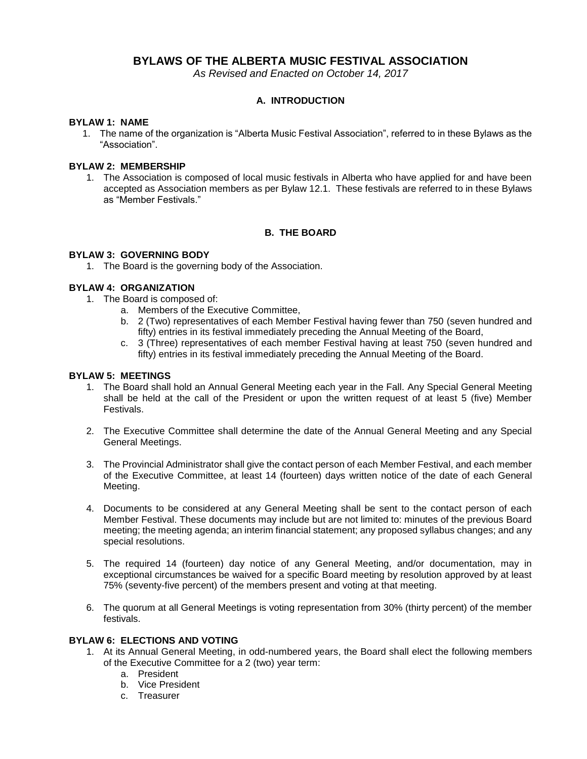# **BYLAWS OF THE ALBERTA MUSIC FESTIVAL ASSOCIATION**

*As Revised and Enacted on October 14, 2017*

## **A. INTRODUCTION**

#### **BYLAW 1: NAME**

1. The name of the organization is "Alberta Music Festival Association", referred to in these Bylaws as the "Association".

### **BYLAW 2: MEMBERSHIP**

1. The Association is composed of local music festivals in Alberta who have applied for and have been accepted as Association members as per Bylaw 12.1. These festivals are referred to in these Bylaws as "Member Festivals."

### **B. THE BOARD**

## **BYLAW 3: GOVERNING BODY**

1. The Board is the governing body of the Association.

#### **BYLAW 4: ORGANIZATION**

- 1. The Board is composed of:
	- a. Members of the Executive Committee,
	- b. 2 (Two) representatives of each Member Festival having fewer than 750 (seven hundred and fifty) entries in its festival immediately preceding the Annual Meeting of the Board,
	- c. 3 (Three) representatives of each member Festival having at least 750 (seven hundred and fifty) entries in its festival immediately preceding the Annual Meeting of the Board.

### **BYLAW 5: MEETINGS**

- 1. The Board shall hold an Annual General Meeting each year in the Fall. Any Special General Meeting shall be held at the call of the President or upon the written request of at least 5 (five) Member Festivals.
- 2. The Executive Committee shall determine the date of the Annual General Meeting and any Special General Meetings.
- 3. The Provincial Administrator shall give the contact person of each Member Festival, and each member of the Executive Committee, at least 14 (fourteen) days written notice of the date of each General Meeting.
- 4. Documents to be considered at any General Meeting shall be sent to the contact person of each Member Festival. These documents may include but are not limited to: minutes of the previous Board meeting; the meeting agenda; an interim financial statement; any proposed syllabus changes; and any special resolutions.
- 5. The required 14 (fourteen) day notice of any General Meeting, and/or documentation, may in exceptional circumstances be waived for a specific Board meeting by resolution approved by at least 75% (seventy-five percent) of the members present and voting at that meeting.
- 6. The quorum at all General Meetings is voting representation from 30% (thirty percent) of the member festivals.

#### **BYLAW 6: ELECTIONS AND VOTING**

- 1. At its Annual General Meeting, in odd-numbered years, the Board shall elect the following members of the Executive Committee for a 2 (two) year term:
	- a. President
	- b. Vice President
	- c. Treasurer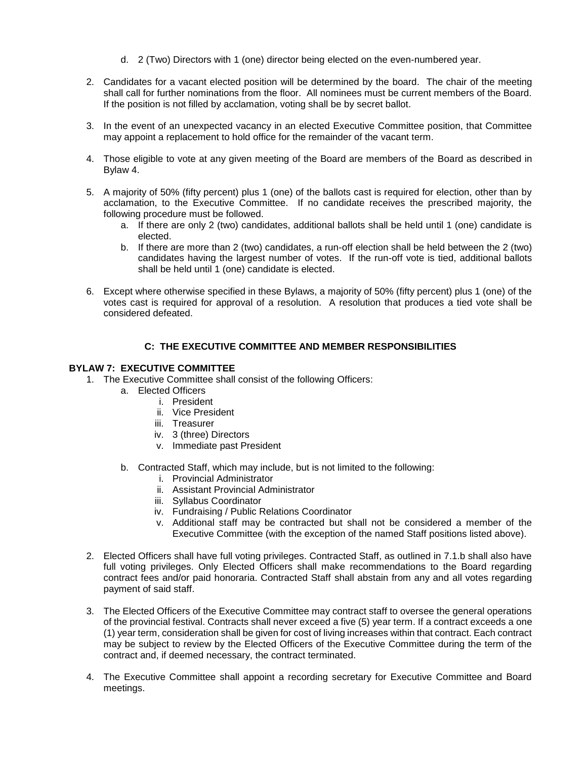- d. 2 (Two) Directors with 1 (one) director being elected on the even-numbered year.
- 2. Candidates for a vacant elected position will be determined by the board. The chair of the meeting shall call for further nominations from the floor. All nominees must be current members of the Board. If the position is not filled by acclamation, voting shall be by secret ballot.
- 3. In the event of an unexpected vacancy in an elected Executive Committee position, that Committee may appoint a replacement to hold office for the remainder of the vacant term.
- 4. Those eligible to vote at any given meeting of the Board are members of the Board as described in Bylaw 4.
- 5. A majority of 50% (fifty percent) plus 1 (one) of the ballots cast is required for election, other than by acclamation, to the Executive Committee. If no candidate receives the prescribed majority, the following procedure must be followed.
	- a. If there are only 2 (two) candidates, additional ballots shall be held until 1 (one) candidate is elected.
	- b. If there are more than 2 (two) candidates, a run-off election shall be held between the 2 (two) candidates having the largest number of votes. If the run-off vote is tied, additional ballots shall be held until 1 (one) candidate is elected.
- 6. Except where otherwise specified in these Bylaws, a majority of 50% (fifty percent) plus 1 (one) of the votes cast is required for approval of a resolution. A resolution that produces a tied vote shall be considered defeated.

### **C: THE EXECUTIVE COMMITTEE AND MEMBER RESPONSIBILITIES**

#### **BYLAW 7: EXECUTIVE COMMITTEE**

- 1. The Executive Committee shall consist of the following Officers:
	- a. Elected Officers
		- i. President
		- ii. Vice President
		- iii. Treasurer
		- iv. 3 (three) Directors
		- v. Immediate past President
	- b. Contracted Staff, which may include, but is not limited to the following:
		- i. Provincial Administrator
		- ii. Assistant Provincial Administrator
		- iii. Syllabus Coordinator
		- iv. Fundraising / Public Relations Coordinator
		- v. Additional staff may be contracted but shall not be considered a member of the Executive Committee (with the exception of the named Staff positions listed above).
- 2. Elected Officers shall have full voting privileges. Contracted Staff, as outlined in 7.1.b shall also have full voting privileges. Only Elected Officers shall make recommendations to the Board regarding contract fees and/or paid honoraria. Contracted Staff shall abstain from any and all votes regarding payment of said staff.
- 3. The Elected Officers of the Executive Committee may contract staff to oversee the general operations of the provincial festival. Contracts shall never exceed a five (5) year term. If a contract exceeds a one (1) year term, consideration shall be given for cost of living increases within that contract. Each contract may be subject to review by the Elected Officers of the Executive Committee during the term of the contract and, if deemed necessary, the contract terminated.
- 4. The Executive Committee shall appoint a recording secretary for Executive Committee and Board meetings.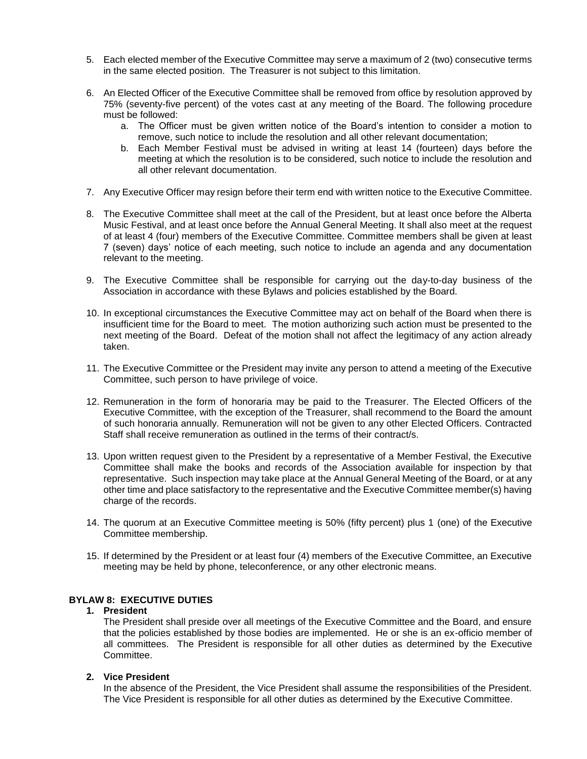- 5. Each elected member of the Executive Committee may serve a maximum of 2 (two) consecutive terms in the same elected position. The Treasurer is not subject to this limitation.
- 6. An Elected Officer of the Executive Committee shall be removed from office by resolution approved by 75% (seventy-five percent) of the votes cast at any meeting of the Board. The following procedure must be followed:
	- a. The Officer must be given written notice of the Board's intention to consider a motion to remove, such notice to include the resolution and all other relevant documentation;
	- b. Each Member Festival must be advised in writing at least 14 (fourteen) days before the meeting at which the resolution is to be considered, such notice to include the resolution and all other relevant documentation.
- 7. Any Executive Officer may resign before their term end with written notice to the Executive Committee.
- 8. The Executive Committee shall meet at the call of the President, but at least once before the Alberta Music Festival, and at least once before the Annual General Meeting. It shall also meet at the request of at least 4 (four) members of the Executive Committee. Committee members shall be given at least 7 (seven) days' notice of each meeting, such notice to include an agenda and any documentation relevant to the meeting.
- 9. The Executive Committee shall be responsible for carrying out the day-to-day business of the Association in accordance with these Bylaws and policies established by the Board.
- 10. In exceptional circumstances the Executive Committee may act on behalf of the Board when there is insufficient time for the Board to meet. The motion authorizing such action must be presented to the next meeting of the Board. Defeat of the motion shall not affect the legitimacy of any action already taken.
- 11. The Executive Committee or the President may invite any person to attend a meeting of the Executive Committee, such person to have privilege of voice.
- 12. Remuneration in the form of honoraria may be paid to the Treasurer. The Elected Officers of the Executive Committee, with the exception of the Treasurer, shall recommend to the Board the amount of such honoraria annually. Remuneration will not be given to any other Elected Officers. Contracted Staff shall receive remuneration as outlined in the terms of their contract/s.
- 13. Upon written request given to the President by a representative of a Member Festival, the Executive Committee shall make the books and records of the Association available for inspection by that representative. Such inspection may take place at the Annual General Meeting of the Board, or at any other time and place satisfactory to the representative and the Executive Committee member(s) having charge of the records.
- 14. The quorum at an Executive Committee meeting is 50% (fifty percent) plus 1 (one) of the Executive Committee membership.
- 15. If determined by the President or at least four (4) members of the Executive Committee, an Executive meeting may be held by phone, teleconference, or any other electronic means.

#### **BYLAW 8: EXECUTIVE DUTIES**

#### **1. President**

The President shall preside over all meetings of the Executive Committee and the Board, and ensure that the policies established by those bodies are implemented. He or she is an ex-officio member of all committees. The President is responsible for all other duties as determined by the Executive Committee.

## **2. Vice President**

In the absence of the President, the Vice President shall assume the responsibilities of the President. The Vice President is responsible for all other duties as determined by the Executive Committee.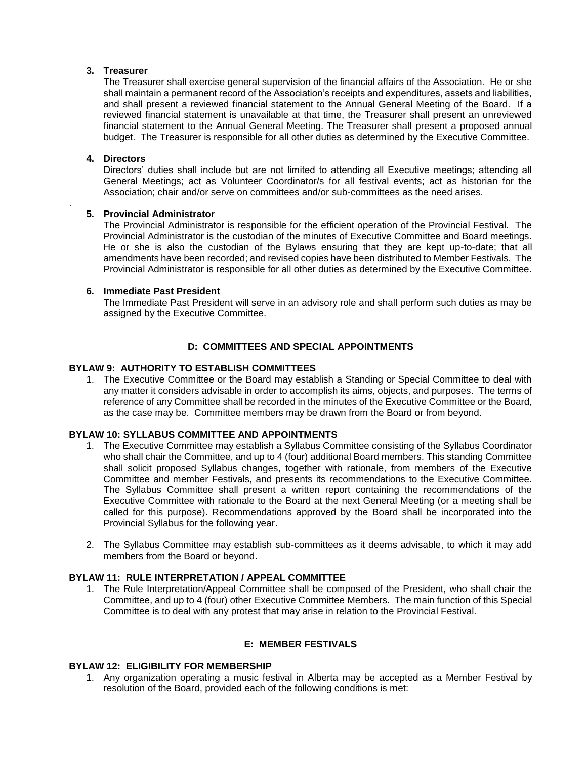### **3. Treasurer**

The Treasurer shall exercise general supervision of the financial affairs of the Association. He or she shall maintain a permanent record of the Association's receipts and expenditures, assets and liabilities, and shall present a reviewed financial statement to the Annual General Meeting of the Board. If a reviewed financial statement is unavailable at that time, the Treasurer shall present an unreviewed financial statement to the Annual General Meeting. The Treasurer shall present a proposed annual budget. The Treasurer is responsible for all other duties as determined by the Executive Committee.

### **4. Directors**

.

Directors' duties shall include but are not limited to attending all Executive meetings; attending all General Meetings; act as Volunteer Coordinator/s for all festival events; act as historian for the Association; chair and/or serve on committees and/or sub-committees as the need arises.

### **5. Provincial Administrator**

The Provincial Administrator is responsible for the efficient operation of the Provincial Festival. The Provincial Administrator is the custodian of the minutes of Executive Committee and Board meetings. He or she is also the custodian of the Bylaws ensuring that they are kept up-to-date; that all amendments have been recorded; and revised copies have been distributed to Member Festivals. The Provincial Administrator is responsible for all other duties as determined by the Executive Committee.

### **6. Immediate Past President**

The Immediate Past President will serve in an advisory role and shall perform such duties as may be assigned by the Executive Committee.

## **D: COMMITTEES AND SPECIAL APPOINTMENTS**

### **BYLAW 9: AUTHORITY TO ESTABLISH COMMITTEES**

1. The Executive Committee or the Board may establish a Standing or Special Committee to deal with any matter it considers advisable in order to accomplish its aims, objects, and purposes. The terms of reference of any Committee shall be recorded in the minutes of the Executive Committee or the Board, as the case may be. Committee members may be drawn from the Board or from beyond.

#### **BYLAW 10: SYLLABUS COMMITTEE AND APPOINTMENTS**

- 1. The Executive Committee may establish a Syllabus Committee consisting of the Syllabus Coordinator who shall chair the Committee, and up to 4 (four) additional Board members. This standing Committee shall solicit proposed Syllabus changes, together with rationale, from members of the Executive Committee and member Festivals, and presents its recommendations to the Executive Committee. The Syllabus Committee shall present a written report containing the recommendations of the Executive Committee with rationale to the Board at the next General Meeting (or a meeting shall be called for this purpose). Recommendations approved by the Board shall be incorporated into the Provincial Syllabus for the following year.
- 2. The Syllabus Committee may establish sub-committees as it deems advisable, to which it may add members from the Board or beyond.

## **BYLAW 11: RULE INTERPRETATION / APPEAL COMMITTEE**

1. The Rule Interpretation/Appeal Committee shall be composed of the President, who shall chair the Committee, and up to 4 (four) other Executive Committee Members. The main function of this Special Committee is to deal with any protest that may arise in relation to the Provincial Festival.

### **E: MEMBER FESTIVALS**

#### **BYLAW 12: ELIGIBILITY FOR MEMBERSHIP**

1. Any organization operating a music festival in Alberta may be accepted as a Member Festival by resolution of the Board, provided each of the following conditions is met: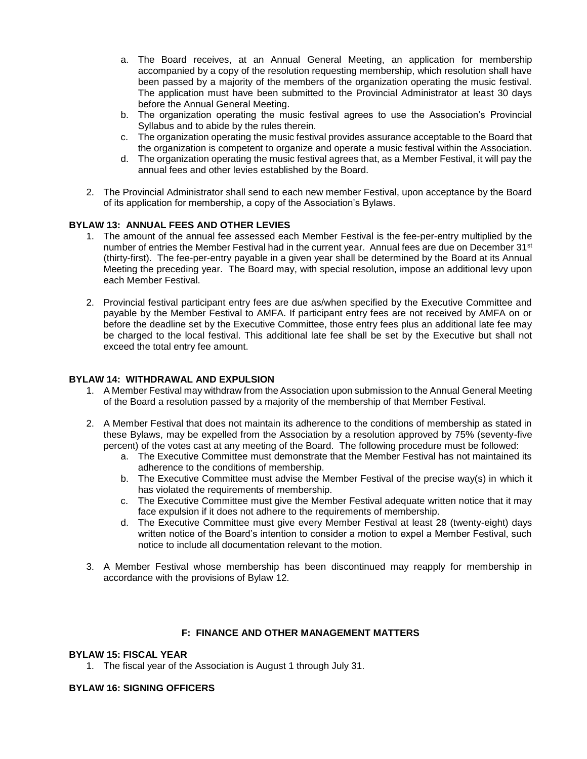- a. The Board receives, at an Annual General Meeting, an application for membership accompanied by a copy of the resolution requesting membership, which resolution shall have been passed by a majority of the members of the organization operating the music festival. The application must have been submitted to the Provincial Administrator at least 30 days before the Annual General Meeting.
- b. The organization operating the music festival agrees to use the Association's Provincial Syllabus and to abide by the rules therein.
- c. The organization operating the music festival provides assurance acceptable to the Board that the organization is competent to organize and operate a music festival within the Association.
- d. The organization operating the music festival agrees that, as a Member Festival, it will pay the annual fees and other levies established by the Board.
- 2. The Provincial Administrator shall send to each new member Festival, upon acceptance by the Board of its application for membership, a copy of the Association's Bylaws.

#### **BYLAW 13: ANNUAL FEES AND OTHER LEVIES**

- 1. The amount of the annual fee assessed each Member Festival is the fee-per-entry multiplied by the number of entries the Member Festival had in the current year. Annual fees are due on December 31<sup>st</sup> (thirty-first). The fee-per-entry payable in a given year shall be determined by the Board at its Annual Meeting the preceding year. The Board may, with special resolution, impose an additional levy upon each Member Festival.
- 2. Provincial festival participant entry fees are due as/when specified by the Executive Committee and payable by the Member Festival to AMFA. If participant entry fees are not received by AMFA on or before the deadline set by the Executive Committee, those entry fees plus an additional late fee may be charged to the local festival. This additional late fee shall be set by the Executive but shall not exceed the total entry fee amount.

### **BYLAW 14: WITHDRAWAL AND EXPULSION**

- 1. A Member Festival may withdraw from the Association upon submission to the Annual General Meeting of the Board a resolution passed by a majority of the membership of that Member Festival.
- 2. A Member Festival that does not maintain its adherence to the conditions of membership as stated in these Bylaws, may be expelled from the Association by a resolution approved by 75% (seventy-five percent) of the votes cast at any meeting of the Board. The following procedure must be followed:
	- a. The Executive Committee must demonstrate that the Member Festival has not maintained its adherence to the conditions of membership.
	- b. The Executive Committee must advise the Member Festival of the precise way(s) in which it has violated the requirements of membership.
	- c. The Executive Committee must give the Member Festival adequate written notice that it may face expulsion if it does not adhere to the requirements of membership.
	- d. The Executive Committee must give every Member Festival at least 28 (twenty-eight) days written notice of the Board's intention to consider a motion to expel a Member Festival, such notice to include all documentation relevant to the motion.
- 3. A Member Festival whose membership has been discontinued may reapply for membership in accordance with the provisions of Bylaw 12.

## **F: FINANCE AND OTHER MANAGEMENT MATTERS**

### **BYLAW 15: FISCAL YEAR**

1. The fiscal year of the Association is August 1 through July 31.

#### **BYLAW 16: SIGNING OFFICERS**